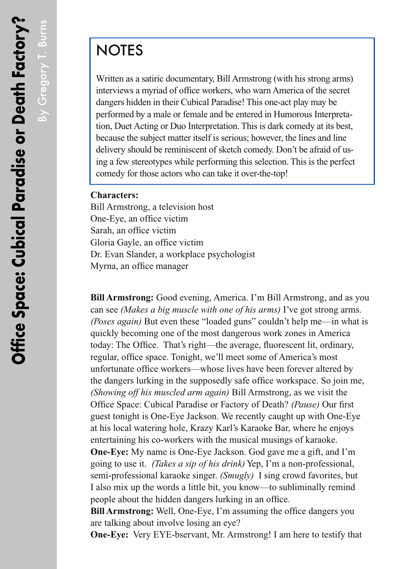By Gregory T. Burns

By Gregory T. Burns

## **NOTES**

Written as a satiric documentary, Bill Armstrong (with his strong arms) interviews a myriad of office workers, who warn America of the secret dangers hidden in their Cubical Paradise! This one-act play may be performed by a male or female and be entered in Humorous Interpretation, Duet Acting or Duo Interpretation. This is dark comedy at its best, because the subject matter itself is serious; however, the lines and line delivery should be reminiscent of sketch comedy. Don't be afraid of using a few stereotypes while performing this selection. This is the perfect comedy for those actors who can take it over-the-top!

## **Characters:**

Bill Armstrong, a television host One-Eye, an office victim Sarah, an office victim Gloria Gayle, an office victim Dr. Evan Slander, a workplace psychologist Myrna, an office manager

**Bill Armstrong:** Good evening, America. I'm Bill Armstrong, and as you can see *(Makes a big muscle with one of his arms)* I've got strong arms. *(Poses again)* But even these "loaded guns" couldn't help me—in what is quickly becoming one of the most dangerous work zones in America today: The Office. That's right—the average, fluorescent lit, ordinary, regular, office space. Tonight, we'll meet some of America's most unfortunate office workers—whose lives have been forever altered by the dangers lurking in the supposedly safe office workspace. So join me, *(Showing off his muscled arm again)* Bill Armstrong, as we visit the Office Space: Cubical Paradise or Factory of Death? *(Pause)* Our first guest tonight is One-Eye Jackson. We recently caught up with One-Eye at his local watering hole, Krazy Karl's Karaoke Bar, where he enjoys entertaining his co-workers with the musical musings of karaoke. **One-Eye:** My name is One-Eye Jackson. God gave me a gift, and I'm going to use it. *(Takes a sip of his drink)* Yep, I'm a non-professional, semi-professional karaoke singer. *(Smugly)* I sing crowd favorites, but I also mix up the words a little bit, you know—to subliminally remind people about the hidden dangers lurking in an office.

**Bill Armstrong:** Well, One-Eye, I'm assuming the office dangers you are talking about involve losing an eye?

**One-Eye:** Very EYE-bservant, Mr. Armstrong! I am here to testify that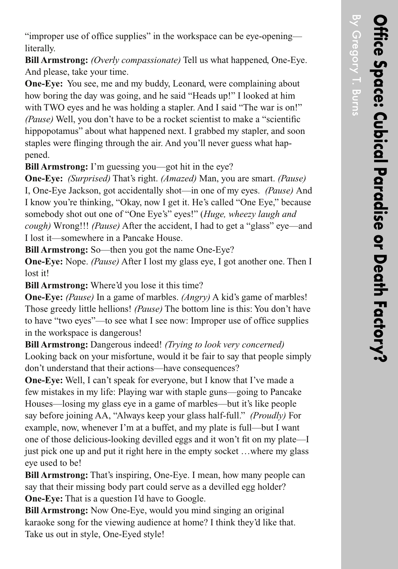By Gregory T. Burns

By Gregory T. Burns

"improper use of office supplies" in the workspace can be eye-opening literally.

**Bill Armstrong:** *(Overly compassionate)* Tell us what happened, One-Eye. And please, take your time.

**One-Eye:** You see, me and my buddy, Leonard, were complaining about how boring the day was going, and he said "Heads up!" I looked at him with TWO eyes and he was holding a stapler. And I said "The war is on!" *(Pause)* Well, you don't have to be a rocket scientist to make a "scientific hippopotamus" about what happened next. I grabbed my stapler, and soon staples were flinging through the air. And you'll never guess what happened.

**Bill Armstrong:** I'm guessing you—got hit in the eye?

**One-Eye:** *(Surprised)* That's right. *(Amazed)* Man, you are smart. *(Pause)*  I, One-Eye Jackson, got accidentally shot—in one of my eyes. *(Pause)* And I know you're thinking, "Okay, now I get it. He's called "One Eye," because somebody shot out one of "One Eye's" eyes!" (*Huge, wheezy laugh and cough)* Wrong!!! *(Pause)* After the accident, I had to get a "glass" eye—and I lost it—somewhere in a Pancake House.

**Bill Armstrong:** So—then you got the name One-Eye?

**One-Eye:** Nope. *(Pause)* After I lost my glass eye, I got another one. Then I lost it!

**Bill Armstrong:** Where'd you lose it this time?

**One-Eye:** *(Pause)* In a game of marbles. *(Angry)* A kid's game of marbles! Those greedy little hellions! *(Pause)* The bottom line is this: You don't have to have "two eyes"—to see what I see now: Improper use of office supplies in the workspace is dangerous!

**Bill Armstrong:** Dangerous indeed! *(Trying to look very concerned)*  Looking back on your misfortune, would it be fair to say that people simply don't understand that their actions—have consequences?

**One-Eye:** Well, I can't speak for everyone, but I know that I've made a few mistakes in my life: Playing war with staple guns—going to Pancake Houses—losing my glass eye in a game of marbles—but it's like people say before joining AA, "Always keep your glass half-full." *(Proudly)* For example, now, whenever I'm at a buffet, and my plate is full—but I want one of those delicious-looking devilled eggs and it won't fit on my plate—I just pick one up and put it right here in the empty socket …where my glass eye used to be!

**Bill Armstrong:** That's inspiring, One-Eye. I mean, how many people can say that their missing body part could serve as a devilled egg holder? **One-Eye:** That is a question I'd have to Google.

**Bill Armstrong:** Now One-Eye, would you mind singing an original karaoke song for the viewing audience at home? I think they'd like that. Take us out in style, One-Eyed style!